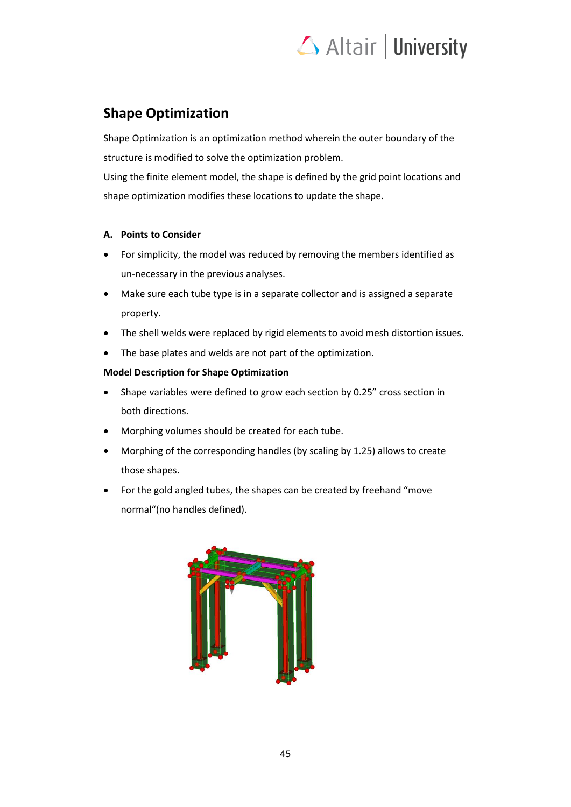# Altair | University

# **Shape Optimization**

Shape Optimization is an optimization method wherein the outer boundary of the structure is modified to solve the optimization problem.

Using the finite element model, the shape is defined by the grid point locations and shape optimization modifies these locations to update the shape.

# **A. Points to Consider**

- For simplicity, the model was reduced by removing the members identified as un-necessary in the previous analyses.
- Make sure each tube type is in a separate collector and is assigned a separate property.
- The shell welds were replaced by rigid elements to avoid mesh distortion issues.
- The base plates and welds are not part of the optimization.

# **Model Description for Shape Optimization**

- Shape variables were defined to grow each section by 0.25" cross section in both directions.
- Morphing volumes should be created for each tube.
- Morphing of the corresponding handles (by scaling by 1.25) allows to create those shapes.
- For the gold angled tubes, the shapes can be created by freehand "move normal"(no handles defined).

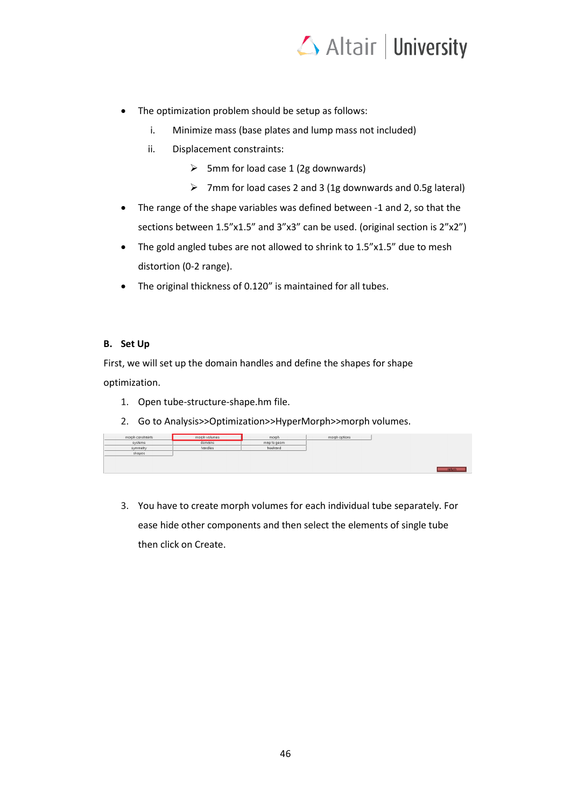

- The optimization problem should be setup as follows:
	- i. Minimize mass (base plates and lump mass not included)
	- ii. Displacement constraints:
		- $\triangleright$  5mm for load case 1 (2g downwards)
		- ➢ 7mm for load cases 2 and 3 (1g downwards and 0.5g lateral)
- The range of the shape variables was defined between -1 and 2, so that the sections between 1.5"x1.5" and 3"x3" can be used. (original section is 2"x2")
- The gold angled tubes are not allowed to shrink to 1.5"x1.5" due to mesh distortion (0-2 range).
- The original thickness of 0.120" is maintained for all tubes.

#### **B. Set Up**

First, we will set up the domain handles and define the shapes for shape optimization.

- 1. Open tube-structure-shape.hm file.
- 2. Go to Analysis>>Optimization>>HyperMorph>>morph volumes.

| morph constraints | morph volumes | morph       | morph options |        |
|-------------------|---------------|-------------|---------------|--------|
| systems           | domains       | map to geom |               |        |
| symmetry          | handles       | freehand    |               |        |
| shapes            |               |             |               |        |
|                   |               |             |               |        |
|                   |               |             |               |        |
|                   |               |             |               | return |

3. You have to create morph volumes for each individual tube separately. For ease hide other components and then select the elements of single tube then click on Create.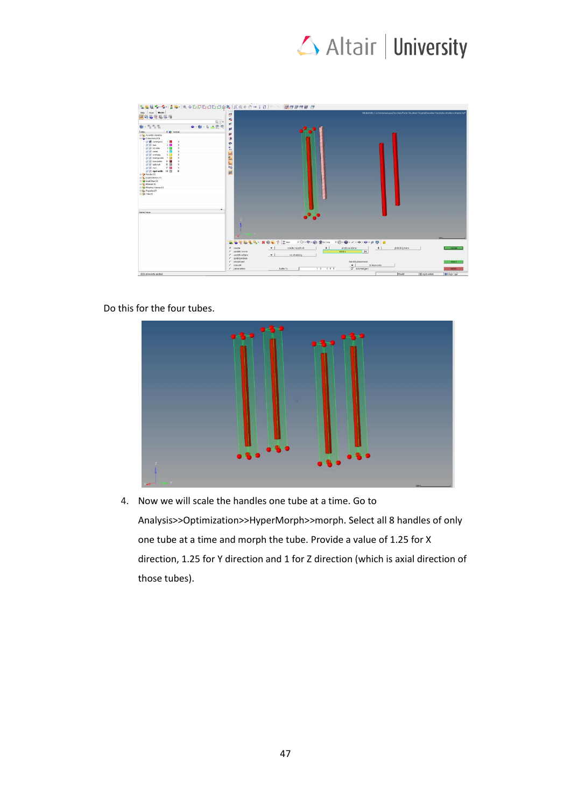

| <b>USy</b> Hak Model                                             |                       |                                                          |                                                                                                                                                                                          |               |               | Model Into: C./Users/seryeyn/Destrop/Tube Structure Project/Beseline files/tube-structure-strepe hert |
|------------------------------------------------------------------|-----------------------|----------------------------------------------------------|------------------------------------------------------------------------------------------------------------------------------------------------------------------------------------------|---------------|---------------|-------------------------------------------------------------------------------------------------------|
| <b>BROTESSE</b>                                                  | d                     |                                                          |                                                                                                                                                                                          |               |               |                                                                                                       |
| $Q - s$                                                          | ĸ,                    |                                                          |                                                                                                                                                                                          |               |               |                                                                                                       |
| 0.555<br>$\cdot$ b $\triangle$ $\mathcal{P}$ =<br>$\bullet$ - Rd |                       |                                                          |                                                                                                                                                                                          |               |               |                                                                                                       |
|                                                                  | ø                     |                                                          |                                                                                                                                                                                          |               |               |                                                                                                       |
| ID @ Include<br>Eritors                                          | W                     |                                                          |                                                                                                                                                                                          |               |               |                                                                                                       |
| ID Assesbly Herardry                                             |                       |                                                          |                                                                                                                                                                                          |               |               |                                                                                                       |
| <b>D</b> Components (10)<br>diff conerports 1                    | ø                     |                                                          |                                                                                                                                                                                          |               |               |                                                                                                       |
| 2.1<br><b>图图 NPR</b>                                             | ÷                     |                                                          |                                                                                                                                                                                          |               |               |                                                                                                       |
| 3日<br><b>IF IF ro-rides</b>                                      | $\frac{0}{12}$        |                                                          |                                                                                                                                                                                          |               |               |                                                                                                       |
| call (iii) canter<br>$\epsilon$                                  |                       |                                                          |                                                                                                                                                                                          |               |               |                                                                                                       |
| 6                                                                |                       |                                                          |                                                                                                                                                                                          |               |               |                                                                                                       |
| gli (i) overlang<br>di li kwangusata 7                           | <b>Mark</b>           |                                                          |                                                                                                                                                                                          |               |               |                                                                                                       |
| 14 国<br>(I) III best plates                                      |                       |                                                          |                                                                                                                                                                                          |               |               |                                                                                                       |
| still sporter<br>16. 国                                           |                       |                                                          |                                                                                                                                                                                          |               |               |                                                                                                       |
| 17 国<br><b>BE</b> mass                                           | 一幅                    |                                                          |                                                                                                                                                                                          |               |               |                                                                                                       |
| (El ili sigld-webbs 10 El                                        |                       |                                                          |                                                                                                                                                                                          |               |               |                                                                                                       |
| <sup>(1)</sup> Hander (8)                                        | 回                     |                                                          |                                                                                                                                                                                          |               |               |                                                                                                       |
| 日 Load Collectors (4)                                            |                       |                                                          |                                                                                                                                                                                          |               |               |                                                                                                       |
| <b>ID To Load Ships (3)</b>                                      |                       |                                                          |                                                                                                                                                                                          |               |               |                                                                                                       |
| E- Melerah (1)                                                   |                       |                                                          |                                                                                                                                                                                          |               |               |                                                                                                       |
| 1) ED Moshing Volumes (1)                                        |                       |                                                          |                                                                                                                                                                                          |               |               |                                                                                                       |
| 13-Age Properties (7)                                            |                       |                                                          |                                                                                                                                                                                          |               |               |                                                                                                       |
| the part des (1)                                                 |                       |                                                          |                                                                                                                                                                                          |               |               |                                                                                                       |
|                                                                  |                       |                                                          |                                                                                                                                                                                          |               |               |                                                                                                       |
|                                                                  |                       |                                                          |                                                                                                                                                                                          |               |               |                                                                                                       |
|                                                                  |                       |                                                          |                                                                                                                                                                                          |               |               |                                                                                                       |
|                                                                  |                       |                                                          |                                                                                                                                                                                          |               |               |                                                                                                       |
|                                                                  |                       |                                                          |                                                                                                                                                                                          |               |               |                                                                                                       |
| Name Value                                                       |                       |                                                          |                                                                                                                                                                                          |               |               |                                                                                                       |
|                                                                  |                       | $\bullet$ $\bullet$                                      |                                                                                                                                                                                          |               |               |                                                                                                       |
|                                                                  |                       |                                                          |                                                                                                                                                                                          |               |               |                                                                                                       |
|                                                                  |                       |                                                          |                                                                                                                                                                                          |               |               |                                                                                                       |
|                                                                  |                       |                                                          |                                                                                                                                                                                          |               |               |                                                                                                       |
|                                                                  |                       |                                                          |                                                                                                                                                                                          |               |               |                                                                                                       |
|                                                                  |                       |                                                          |                                                                                                                                                                                          |               |               |                                                                                                       |
|                                                                  |                       |                                                          |                                                                                                                                                                                          |               |               |                                                                                                       |
|                                                                  |                       |                                                          |                                                                                                                                                                                          |               |               | 2881                                                                                                  |
|                                                                  | <b>BOTOLL NOLTION</b> | $\cdot$ $\Diamond$ $\cdot$ $\Diamond$ $\cdot$ $\Diamond$ | $\mathbf{Q}_{\text{H}}\text{Gm} \longrightarrow \bigoplus_{i=1}^n \mathbf{Q}_i \times \cdots \otimes \cdots \otimes \cdots \otimes \mathbf{Q}_i \boxplus \bigoplus_{i=1}^n \mathbf{Q}_i$ |               |               |                                                                                                       |
|                                                                  |                       |                                                          |                                                                                                                                                                                          |               |               |                                                                                                       |
|                                                                  | $G$ and $E$           | $\cdot$<br>create morphyci<br>$\bullet$                  | $\bullet$<br>enclose elems                                                                                                                                                               | global system |               | <b>COMPA</b>                                                                                          |
|                                                                  | C update mvols        |                                                          | $\overline{\mathbf{R}}$<br>elomt                                                                                                                                                         |               |               |                                                                                                       |
|                                                                  | $C$ update edges      | $\cdot$<br>no shrinking                                  |                                                                                                                                                                                          |               |               |                                                                                                       |
|                                                                  | c split/combine       |                                                          |                                                                                                                                                                                          |               |               |                                                                                                       |
|                                                                  | C savaiload           |                                                          | handle placement.                                                                                                                                                                        |               |               | reject                                                                                                |
|                                                                  | C convert             |                                                          | $\mathbf{v}$<br>comers only                                                                                                                                                              |               |               |                                                                                                       |
|                                                                  | $C$ consmeters        | 10.000<br>butter %                                       | V exfortengent                                                                                                                                                                           |               |               | return.                                                                                               |
|                                                                  |                       |                                                          |                                                                                                                                                                                          | Model         | B rigid walch | <b>B</b> 0.5g <sup>V-1</sup> g2                                                                       |

Do this for the four tubes.



4. Now we will scale the handles one tube at a time. Go to Analysis>>Optimization>>HyperMorph>>morph. Select all 8 handles of only one tube at a time and morph the tube. Provide a value of 1.25 for X direction, 1.25 for Y direction and 1 for Z direction (which is axial direction of those tubes).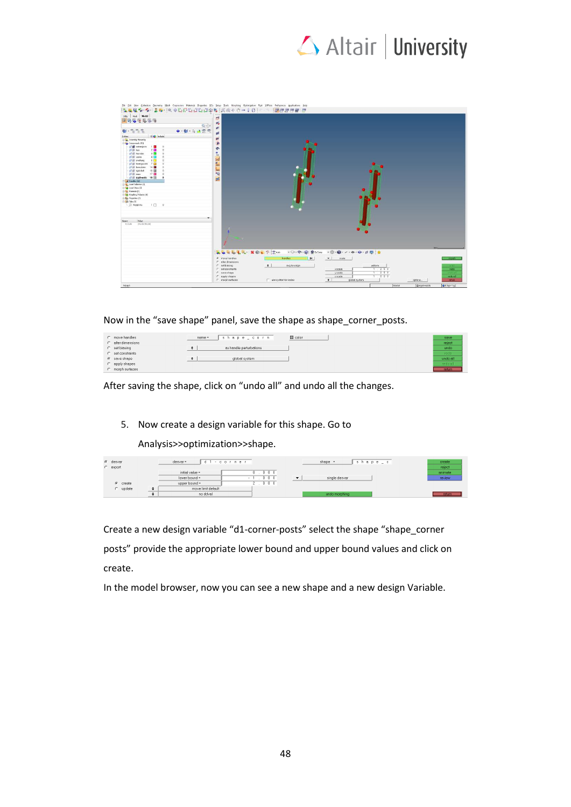

| Ele Edit View Collectors Geometry Mesh Cognectors Materials Properties BCs Setup Tools Morphing Optimization Past 2070sts Preferences Applications Help<br><b>我就是看"看"去看"画中也是也想也想要我的人要来了好。"</b><br>Usity   Mark   Model     | d                                                                          | <b>COMPANY</b>              |                                                                |                                     |                           |                                  |
|----------------------------------------------------------------------------------------------------------------------------------------------------------------------------------------------------------------------------|----------------------------------------------------------------------------|-----------------------------|----------------------------------------------------------------|-------------------------------------|---------------------------|----------------------------------|
| <b>ERGRESS</b><br>$Q = x$                                                                                                                                                                                                  | $\mathbf{r}_\bullet$                                                       |                             |                                                                |                                     |                           |                                  |
| $\mathbf{B}$ . $\mathbf{B}$ , $\mathbf{B}$<br>$\bullet - \mathsf{R} \mathsf{I} - \mathsf{I}$<br>$\circledcirc$<br>D & Include<br>Entities:<br>El Co. Assembly Hierarchy<br>Components (10)<br><b>E B</b> conerports<br>1.8 | øf.<br>41<br>輿<br>®                                                        |                             |                                                                |                                     |                           |                                  |
| F E ton<br>2 <sub>0</sub><br>$\Omega$<br>3 <sup>2</sup><br>El El top-sides<br>E center<br>4 <sup>1</sup><br>E overhang<br>6<br>7 <sub>0</sub><br>E know guatels                                                            | ÷<br>$\frac{\mathbf{0}}{121}$<br>$\mathbf{h}$<br>$\frac{H}{\Delta m}$      |                             |                                                                |                                     |                           |                                  |
| <b>E B</b> bateplates<br>14 国<br>16 图<br>gil ill spostot<br><b>El Bi</b> nass<br>17.<br>E night welds 18<br>٠<br>$\neq$ Handles (32)                                                                                       | $\frac{1}{2}$<br>崎<br>gd.                                                  |                             |                                                                |                                     |                           |                                  |
| B & Load Colectors [4]<br>B & Load Steps (3)<br>[1] Bakesah [1]<br>(ii) En Morphing Volumes (4)<br><b>El Ago</b> Propertes (7)                                                                                             |                                                                            |                             |                                                                |                                     |                           |                                  |
| <b>DE FREGIN</b><br>1<br>- Model Info<br>$\theta$                                                                                                                                                                          |                                                                            |                             |                                                                |                                     |                           |                                  |
| Value<br>Name:<br><b>Master Nodel</b><br>Include                                                                                                                                                                           |                                                                            |                             | U.<br>×                                                        |                                     |                           |                                  |
|                                                                                                                                                                                                                            |                                                                            |                             |                                                                |                                     | <b>ASS</b>                |                                  |
|                                                                                                                                                                                                                            | <b>ACTELL XOLTED</b><br><b>G</b> move handles<br>$\Gamma$ elter dimensions | H<br>handles                | → ○ - ※ - @ 鱼sycore → @ - @ - / - ※ - ◎ - が 問 : 食<br>$-$ scale |                                     |                           | <b>COSTA</b>                     |
|                                                                                                                                                                                                                            | r setbiasing<br>$\Gamma$ set constraints<br>C save shape<br>C apply shapes | $\bullet$<br>avg for crigin | x scale:<br>y scale<br>z scale:                                | uniform.<br>1.250<br>1.250<br>1.000 |                           | rodo<br><b>ANGER</b><br>redo all |
| Morph                                                                                                                                                                                                                      | C morph surfaces                                                           | Use system for nodes        | $\bullet$<br>global system                                     | Model                               | options<br>El rigid-welds | rature<br>B 0 SgY-1g2            |

Now in the "save shape" panel, save the shape as shape\_corner\_posts.

| C move handles      |           | shape_corn<br>name =    | $\Box$ color | save     |
|---------------------|-----------|-------------------------|--------------|----------|
| C alter dimensions  |           |                         |              | reject   |
| $C$ set biasing     | $\bullet$ | as handle perturbations |              | undo     |
| $C$ set constraints |           |                         |              | redo.    |
| $G$ save shape      | $\bullet$ | alobal system           |              | undo all |
| $C$ apply shapes    |           |                         |              | redo all |
| C morph surfaces    |           |                         |              | return   |

After saving the shape, click on "undo all" and undo all the changes.

### 5. Now create a design variable for this shape. Go to

Analysis>>optimization>>shape.

| $G$ desvar<br>$C$ export | desvar-            | $d1 - c o r n e r$ | $shape =$     | hape_c | create<br>reject |
|--------------------------|--------------------|--------------------|---------------|--------|------------------|
|                          |                    |                    |               |        |                  |
|                          | initial value =    | 0 <sub>0</sub>     |               |        | animate          |
|                          | lower bound =      | $0\ 0\ 0$          | single desver |        | review           |
| $G$ create               | upper bound =      | $0\ 0\ 0$          |               |        |                  |
| c update                 | move limit default |                    |               |        |                  |
|                          | no ddval           |                    | undo morphing |        | return           |

Create a new design variable "d1-corner-posts" select the shape "shape\_corner posts" provide the appropriate lower bound and upper bound values and click on create.

In the model browser, now you can see a new shape and a new design Variable.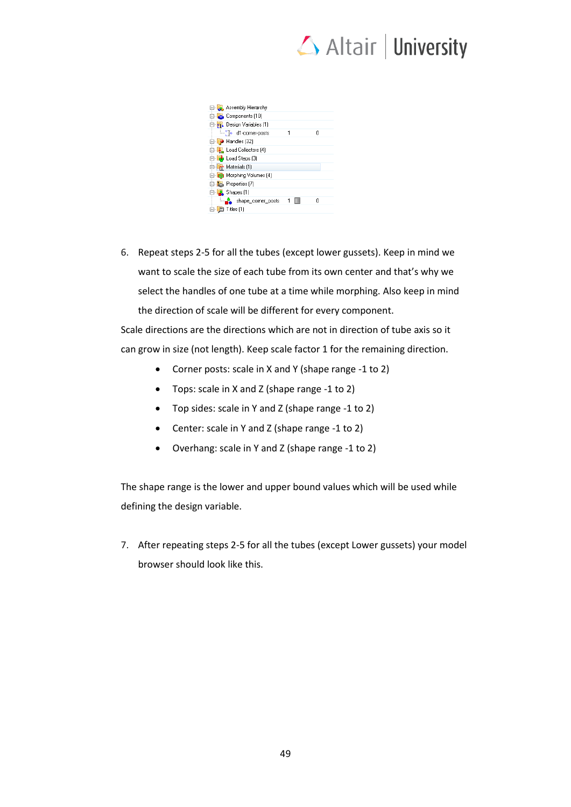

| <b>El-</b> Assembly Hierarchy              |   |   |
|--------------------------------------------|---|---|
| <b>E</b> Components (10)                   |   |   |
| <b>E vi</b> Design Variables [1]           |   |   |
| <b>Environment</b> in the d1-comer-posts   | 1 | n |
| <b>⊞</b> Handles [32]                      |   |   |
| <b>E</b> Load Collectors (4)               |   |   |
| E Load Steps (3)                           |   |   |
| <sup>1</sup> / <sub>12</sub> Materials [1] |   |   |
| 由 <sub>C</sub> -, Morphing Volumes [4]     |   |   |
| 由 Properties (7)                           |   |   |
| 白 A Shapes [1]                             |   |   |
| hape_comer_posts                           |   | n |
| 目 Titles [1]<br>田山                         |   |   |

6. Repeat steps 2-5 for all the tubes (except lower gussets). Keep in mind we want to scale the size of each tube from its own center and that's why we select the handles of one tube at a time while morphing. Also keep in mind the direction of scale will be different for every component.

Scale directions are the directions which are not in direction of tube axis so it can grow in size (not length). Keep scale factor 1 for the remaining direction.

- Corner posts: scale in X and Y (shape range -1 to 2)
- Tops: scale in X and Z (shape range -1 to 2)
- Top sides: scale in Y and Z (shape range -1 to 2)
- Center: scale in Y and Z (shape range -1 to 2)
- Overhang: scale in Y and Z (shape range -1 to 2)

The shape range is the lower and upper bound values which will be used while defining the design variable.

7. After repeating steps 2-5 for all the tubes (except Lower gussets) your model browser should look like this.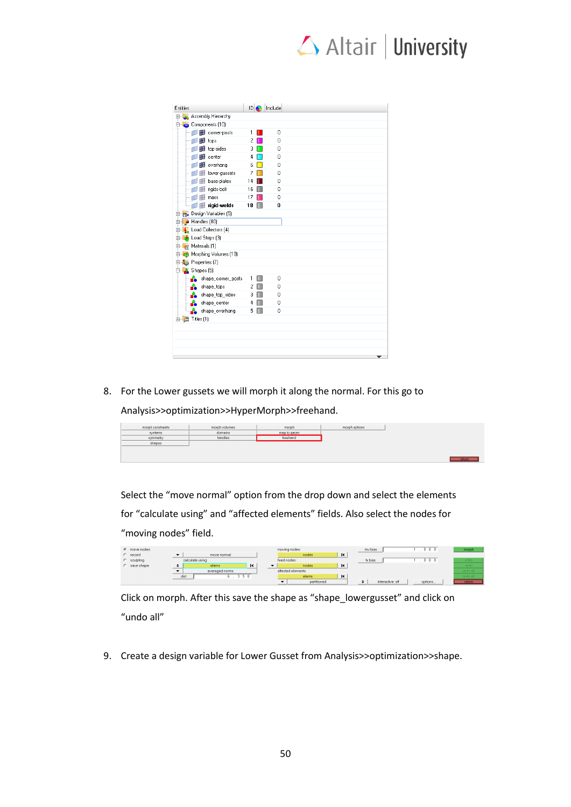# Altair | University

| Entities                               | D  |   | Include |  |
|----------------------------------------|----|---|---------|--|
| <b>E-Assembly Hierarchy</b>            |    |   |         |  |
| Components (10)                        |    |   |         |  |
| - <b>FB</b> corner-posts               | 1  |   | 0       |  |
| $\blacksquare$ $\blacksquare$ tops     | 2  |   | 0       |  |
| $\Box$ $\Box$ top-sides                | 3  |   | 0       |  |
| $\blacksquare$ $\blacksquare$ center   | 4  |   | 0       |  |
| $\blacksquare$ $\blacksquare$ overhang | 6  |   | n       |  |
| <b>E</b> lower-gussets<br>l-O          | 7  |   | n       |  |
| $\Box$ $\Box$ base-plates              | 14 |   | 0       |  |
| Figids-bolt                            | 16 |   | n       |  |
| $\Box$ $\Box$ mass                     | 17 |   | 0       |  |
| $\Box$ $\Box$ rigid-welds              | 18 |   | 0       |  |
| <b>E</b> vy Design Variables (5)       |    |   |         |  |
| ⊕ Handles (80)                         |    |   |         |  |
| E- Load Collectors (4)                 |    |   |         |  |
| ⊕ <mark>ab</mark> Load Steps [3]       |    |   |         |  |
| 由 Materials [1]                        |    |   |         |  |
| <b>E</b> ta Morphing Volumes [10]      |    |   |         |  |
| Properties (7)                         |    |   |         |  |
| <b>D</b> Shapes (5)                    |    |   |         |  |
| ÷<br>shape_corner_posts                | 1  | m | 0       |  |
| ÷<br>shape_tops                        | 2  |   | 0       |  |
| hape_top_sides                         | 3  |   | 0       |  |
| <sub>nn</sub> A shape_center           | 4  |   | 0       |  |
| shape_overhang                         | 5  |   | 0       |  |
| 由 目 Titles (1)                         |    |   |         |  |
|                                        |    |   |         |  |
|                                        |    |   |         |  |
|                                        |    |   |         |  |
|                                        |    |   |         |  |
|                                        |    |   |         |  |

8. For the Lower gussets we will morph it along the normal. For this go to

Analysis>>optimization>>HyperMorph>>freehand.

| morph constraints | morph volumes | morph       | morph options |
|-------------------|---------------|-------------|---------------|
| systems           | domains       | map to geam |               |
| symmetry          | handles       | freehand    |               |
| shapes            |               |             |               |
|                   |               |             |               |
|                   |               |             |               |
|                   |               |             |               |

Select the "move normal" option from the drop down and select the elements for "calculate using" and "affected elements" fields. Also select the nodes for "moving nodes" field.

| C move nodes         |              |                  |                | moving nodes:      |   | my bias          | 0 <sub>0</sub> | morph   |
|----------------------|--------------|------------------|----------------|--------------------|---|------------------|----------------|---------|
| $C$ record           |              | move normal      |                | nodes              | к |                  |                |         |
| $C$ sculpting        |              | colculate using: |                | fixed nodes:       |   | fx bias          | n n n          | unde    |
| save shape<br>$\sim$ |              | elems            | $\blacksquare$ | nodes              | к |                  |                | redo    |
|                      |              | averaged norms   |                | affected elements: |   |                  |                | undo al |
|                      | dist<br>-5.0 |                  | elems          | К                  |   |                  | redo all       |         |
|                      |              |                  |                | partitioned        |   | interactive: off | options        | retum   |

Click on morph. After this save the shape as "shape\_lowergusset" and click on "undo all"

9. Create a design variable for Lower Gusset from Analysis>>optimization>>shape.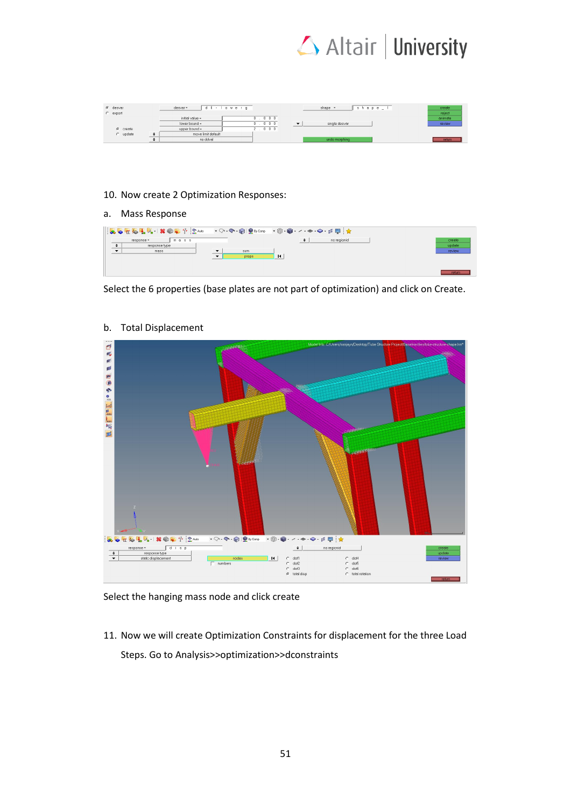

| $6$ desvar<br>$C$ export | desvar-            | , d 6 - I o werg | $shape$ $l$<br>shape $-$ | create<br>reject |
|--------------------------|--------------------|------------------|--------------------------|------------------|
|                          | initial value =    | 000              |                          | animate          |
|                          | lower bound =      | $0\ 0\ 0$        | single desvar            | review           |
| $G$ create               | upper bound =      | $0 \t0 \t0$      |                          |                  |
| $C$ update               | move limit default |                  |                          |                  |
|                          | no ddval           |                  | undo morphing            | return           |

#### 10. Now create 2 Optimization Responses:

#### a. Mass Response

| mass<br>$resomes =$<br>response type<br>mass | $\overline{\phantom{a}}$<br>sum<br>$\blacksquare$<br>props | no regionid | create<br>update<br>review |
|----------------------------------------------|------------------------------------------------------------|-------------|----------------------------|
|                                              |                                                            |             | return                     |

Select the 6 properties (base plates are not part of optimization) and click on Create.



#### b. Total Displacement

Select the hanging mass node and click create

11. Now we will create Optimization Constraints for displacement for the three Load Steps. Go to Analysis>>optimization>>dconstraints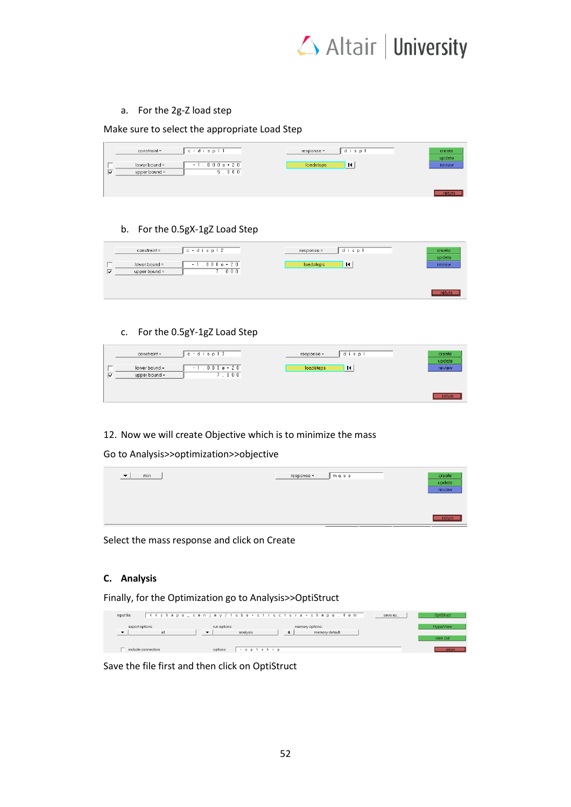

# a. For the 2g-Z load step

Make sure to select the appropriate Load Step

| constraint =  | $c - d$ is $p + 1$ | response = | displ    | create |
|---------------|--------------------|------------|----------|--------|
|               |                    |            |          | update |
| lower bound = | $-1.000e + 20$     | loadsteps  | $\sf{I}$ | review |
| upper bound = | 5.000              |            |          |        |
|               |                    |            |          |        |
|               |                    |            |          |        |
|               |                    |            |          | return |

#### b. For the 0.5gX-1gZ Load Step

| $c - d$ is $p + 2$<br>constraint = | $response =$                     | disp<br>create<br>update |
|------------------------------------|----------------------------------|--------------------------|
| lower bound =<br>upper bound =     | $-1.000e+20$<br>loadsteps<br>000 | и<br>review              |
|                                    |                                  | return                   |

#### c. For the 0.5gY-1gZ Load Step

| constraint =                   | $c - d$ is $p + 3$    | $response =$ | displ          | create<br>update |
|--------------------------------|-----------------------|--------------|----------------|------------------|
| lower bound =<br>upper bound = | $-1.000e + 20$<br>000 | loadsteps    | $\blacksquare$ | review           |
|                                |                       |              |                | return           |

# 12. Now we will create Objective which is to minimize the mass

Go to Analysis>>optimization>>objective

| min<br>$\overline{\phantom{a}}$<br>___ | response = | mass | create<br>update<br><b>Contract Contract</b><br>review |
|----------------------------------------|------------|------|--------------------------------------------------------|
|                                        |            |      | return                                                 |
|                                        |            |      |                                                        |

Select the mass response and click on Create

# **C. Analysis**

Finally, for the Optimization go to Analysis>>OptiStruct

| input file: |                             |                          | << shape_sanjay/tube-structure-shape.fem | save as | OptiStruct            |
|-------------|-----------------------------|--------------------------|------------------------------------------|---------|-----------------------|
|             | export options:<br>all      | run options:<br>analysis | memory options:<br>memory default        |         | HyperView<br>view out |
|             | $\equiv$ include connectors | options:<br>$-$ optskip  |                                          |         | return                |

Save the file first and then click on OptiStruct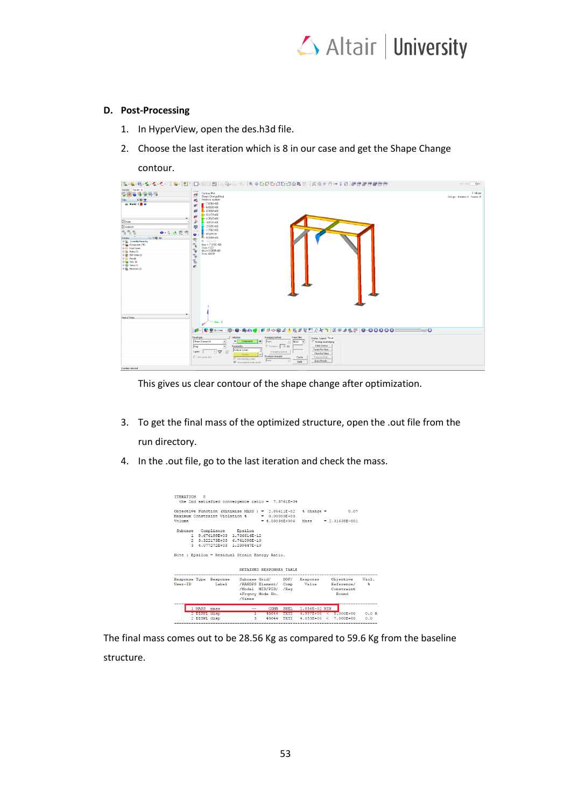

# **D. Post-Processing**

- 1. In HyperView, open the des.h3d file.
- 2. Choose the last iteration which is 8 in our case and get the Shape Change

contour.

|                                                                                             |                                                 |                                                                                                                                            | $\leftarrow$<br>$1$ of 1        |
|---------------------------------------------------------------------------------------------|-------------------------------------------------|--------------------------------------------------------------------------------------------------------------------------------------------|---------------------------------|
| Session Results x                                                                           |                                                 |                                                                                                                                            |                                 |
| ÇP<br>医肠前鼻痛                                                                                 | 1.1.1<br>d                                      | Contour Plot<br>Shape Change(Mag)                                                                                                          | 1: Model                        |
| <b>IDO O</b><br>Files                                                                       |                                                 | Analysis system                                                                                                                            | Design : Iteration B : Frame 25 |
| A Model 1 2 0                                                                               |                                                 | $-7.676E + 00$                                                                                                                             |                                 |
|                                                                                             | ar)                                             | $-6.0236 + 00$                                                                                                                             |                                 |
|                                                                                             | вB                                              | $-6.970E + 00$                                                                                                                             |                                 |
|                                                                                             | ø                                               | $-6.117E + 00$                                                                                                                             |                                 |
| $\frac{1}{2}$ Design                                                                        | s                                               | $-4.264E + 00$<br>$-3.412E + 00$                                                                                                           |                                 |
|                                                                                             |                                                 | $-2668E + 60$                                                                                                                              |                                 |
| $\frac{a}{x}$ iteration B                                                                   | Ų                                               | $+ 1.706E + 00$                                                                                                                            |                                 |
| $P_1 P_2 P_3$<br>$\bullet\quad \bullet\quad \bullet\quad \bullet\quad \bullet\quad \bullet$ | 1.111<br>٥.                                     | $-8.6296-01$                                                                                                                               |                                 |
| <b>Entities</b><br>0000                                                                     | $\circledcirc$                                  | L 0.000E+00                                                                                                                                |                                 |
| <b>SP Assembly Hierarchy</b>                                                                |                                                 | <b>No result</b>                                                                                                                           |                                 |
| El Components (10)                                                                          | ٩                                               | $Max = 7.676E + 00$<br>Grids 1533                                                                                                          |                                 |
| <b>B-B</b> Load Cases<br>B-56 Notes (1)                                                     | $\tau_{\rm r}$                                  | $Min = 0.000E + 00$                                                                                                                        |                                 |
| B B Plot Styles (3)                                                                         | $\mathcal{P}_{\mathcal{P}}$                     | Grids 42039                                                                                                                                |                                 |
| <b>B-BD</b> Results                                                                         |                                                 |                                                                                                                                            |                                 |
| 0 to Sets (5)                                                                               | $\overline{\overline{\overline{\overline{v}}}}$ |                                                                                                                                            |                                 |
| <b>B-19</b> Views (1)<br><sup>20</sup> Heaster (2)                                          | ø.                                              |                                                                                                                                            |                                 |
|                                                                                             |                                                 |                                                                                                                                            |                                 |
|                                                                                             |                                                 |                                                                                                                                            |                                 |
|                                                                                             |                                                 |                                                                                                                                            |                                 |
|                                                                                             |                                                 |                                                                                                                                            |                                 |
|                                                                                             |                                                 |                                                                                                                                            |                                 |
|                                                                                             |                                                 |                                                                                                                                            |                                 |
|                                                                                             |                                                 |                                                                                                                                            |                                 |
|                                                                                             |                                                 |                                                                                                                                            |                                 |
|                                                                                             |                                                 |                                                                                                                                            |                                 |
|                                                                                             |                                                 |                                                                                                                                            |                                 |
|                                                                                             |                                                 |                                                                                                                                            |                                 |
| Name Value                                                                                  |                                                 |                                                                                                                                            |                                 |
|                                                                                             |                                                 |                                                                                                                                            |                                 |
|                                                                                             |                                                 |                                                                                                                                            |                                 |
|                                                                                             |                                                 | ;d - ●●%∞∞ -◎-●-●小d :d :d :d ☆◎♪小児がで門ですう :x → ♪私F :0 - 0 0 0 0 0 :<br>$-$ 0                                                                |                                 |
|                                                                                             | Reault type                                     | <b>Selection</b><br>Averaging method:<br>Vakie filter<br>Display Legend Result                                                             |                                 |
|                                                                                             |                                                 | Shape Dhange (v)<br>Nane<br>$=$ $Cepocents$<br>$\vert \mathbf{H} \vert$<br>$\frac{v}{2}$ None $\rightarrow$<br>≛<br>Overlay result display |                                 |
|                                                                                             | Mag                                             | Clear Contour<br>Resolveding<br>E Vaision ( 10 (X)<br>$\bullet$                                                                            |                                 |
|                                                                                             |                                                 | Create Plot Style.<br>Analysis System<br>٠<br>$\sqrt{V}$                                                                                   |                                 |
|                                                                                             | Layers:                                         | Averaging Options.<br>Show loo Value<br>$\mathbb{H}$                                                                                       |                                 |
|                                                                                             |                                                 | Emrelope trace plot:<br>E Use correr data<br>Projection Rule<br>Cache<br>Use tracking system                                               |                                 |
|                                                                                             |                                                 | Nane<br>Ques-Results<br>Apple<br>To Show midside node results                                                                              |                                 |
| <b>Dentifies selected</b>                                                                   |                                                 |                                                                                                                                            |                                 |
|                                                                                             |                                                 |                                                                                                                                            |                                 |

This gives us clear contour of the shape change after optimization.

- 3. To get the final mass of the optimized structure, open the .out file from the run directory.
- 4. In the .out file, go to the last iteration and check the mass.

| <b>TTERATION 8</b> | the 2nd satisfied convergence ratio = $7.3761E-04$                                                              |                          |             |                |                    |       |
|--------------------|-----------------------------------------------------------------------------------------------------------------|--------------------------|-------------|----------------|--------------------|-------|
|                    | Objective Function (Minimize MASS ) = $2.85611E-02$                                                             |                          |             | $s$ change $=$ | 0.07               |       |
|                    | Maximum Constraint Violation % = 0.00000E+00                                                                    |                          |             |                |                    |       |
| Volume             |                                                                                                                 | $= 4.03034E+006$         |             | Mass           | $= 2.31638E - 001$ |       |
| Subcase            | Compliance Epsilon<br>1 9.676199E+03 1.736614E-12<br>2 3.322173E+03 6.741098E-10<br>3 4.077272E+03 1.239447E-10 |                          |             |                |                    |       |
|                    | Note : Epsilon = Residual Strain Energy Ratio.                                                                  | RETAINED RESPONSES TABLE |             |                |                    |       |
|                    |                                                                                                                 |                          |             |                |                    |       |
|                    | Response Type Response Subcase Grid/ DOF/                                                                       |                          |             | Response       | Objective          | Viol. |
| H <sub>mer</sub>   | Label / RANDPS Element/ Comp Value                                                                              |                          |             |                | Reference/         | 喬     |
|                    |                                                                                                                 | /Model MID/PID/ /Reg     |             |                | Constraint         |       |
|                    |                                                                                                                 | +Francy Mode No.         |             |                | Bound              |       |
|                    | /Times                                                                                                          |                          |             |                |                    |       |
| 1 MASS             | mass <sub>s</sub>                                                                                               | <b>COMB</b><br>--        | <b>SHEL</b> | 2.856E-02 MIN  |                    |       |
| 2 DISPL disp       |                                                                                                                 | 43644<br>т               | TXYZ        | 4.99700000     | $\leq 5.000E + 00$ | 0.07  |

The final mass comes out to be 28.56 Kg as compared to 59.6 Kg from the baseline structure.